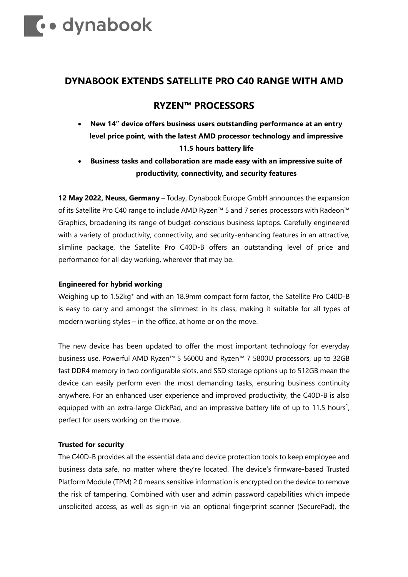# **Comparison Comparison Comparison Comparison Comparison Comparison Comparison Comparison Comparison Comparison**

### **DYNABOOK EXTENDS SATELLITE PRO C40 RANGE WITH AMD**

## **RYZEN™ PROCESSORS**

- **New 14" device offers business users outstanding performance at an entry level price point, with the latest AMD processor technology and impressive 11.5 hours battery life**
- **Business tasks and collaboration are made easy with an impressive suite of productivity, connectivity, and security features**

**12 May 2022, Neuss, Germany** – Today, Dynabook Europe GmbH announces the expansion of its Satellite Pro C40 range to include AMD Ryzen™ 5 and 7 series processors with Radeon™ Graphics, broadening its range of budget-conscious business laptops. Carefully engineered with a variety of productivity, connectivity, and security-enhancing features in an attractive, slimline package, the Satellite Pro C40D-B offers an outstanding level of price and performance for all day working, wherever that may be.

#### **Engineered for hybrid working**

Weighing up to 1.52kg\* and with an 18.9mm compact form factor, the Satellite Pro C40D-B is easy to carry and amongst the slimmest in its class, making it suitable for all types of modern working styles – in the office, at home or on the move.

The new device has been updated to offer the most important technology for everyday business use. Powerful AMD Ryzen™ 5 5600U and Ryzen™ 7 5800U processors, up to 32GB fast DDR4 memory in two configurable slots, and SSD storage options up to 512GB mean the device can easily perform even the most demanding tasks, ensuring business continuity anywhere. For an enhanced user experience and improved productivity, the C40D-B is also equipped with an extra-large ClickPad, and an impressive battery life of up to 11.5 hours<sup>1</sup>, perfect for users working on the move.

#### **Trusted for security**

The C40D-B provides all the essential data and device protection tools to keep employee and business data safe, no matter where they're located. The device's firmware-based Trusted Platform Module (TPM) 2.0 means sensitive information is encrypted on the device to remove the risk of tampering. Combined with user and admin password capabilities which impede unsolicited access, as well as sign-in via an optional fingerprint scanner (SecurePad), the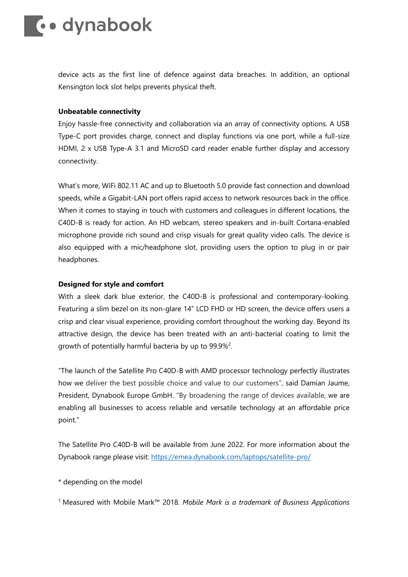## **Le** dynabook

device acts as the first line of defence against data breaches. In addition, an optional Kensington lock slot helps prevents physical theft.

#### **Unbeatable connectivity**

Enjoy hassle-free connectivity and collaboration via an array of connectivity options. A USB Type-C port provides charge, connect and display functions via one port, while a full-size HDMI, 2 x USB Type-A 3.1 and MicroSD card reader enable further display and accessory connectivity.

What's more, WiFi 802.11 AC and up to Bluetooth 5.0 provide fast connection and download speeds, while a Gigabit-LAN port offers rapid access to network resources back in the office. When it comes to staying in touch with customers and colleagues in different locations, the C40D-B is ready for action. An HD webcam, stereo speakers and in-built Cortana-enabled microphone provide rich sound and crisp visuals for great quality video calls. The device is also equipped with a mic/headphone slot, providing users the option to plug in or pair headphones.

#### **Designed for style and comfort**

With a sleek dark blue exterior, the C40D-B is professional and contemporary-looking. Featuring a slim bezel on its non-glare 14" LCD FHD or HD screen, the device offers users a crisp and clear visual experience, providing comfort throughout the working day. Beyond its attractive design, the device has been treated with an anti-bacterial coating to limit the growth of potentially harmful bacteria by up to 99.9%<sup>2</sup>.

"The launch of the Satellite Pro C40D-B with AMD processor technology perfectly illustrates how we deliver the best possible choice and value to our customers", said Damian Jaume, President, Dynabook Europe GmbH. "By broadening the range of devices available, we are enabling all businesses to access reliable and versatile technology at an affordable price point."

The Satellite Pro C40D-B will be available from June 2022. For more information about the Dynabook range please visit:<https://emea.dynabook.com/laptops/satellite-pro/>

\* depending on the model

<sup>1</sup> Measured with Mobile Mark™ 2018. *Mobile Mark is a trademark of Business Applications*